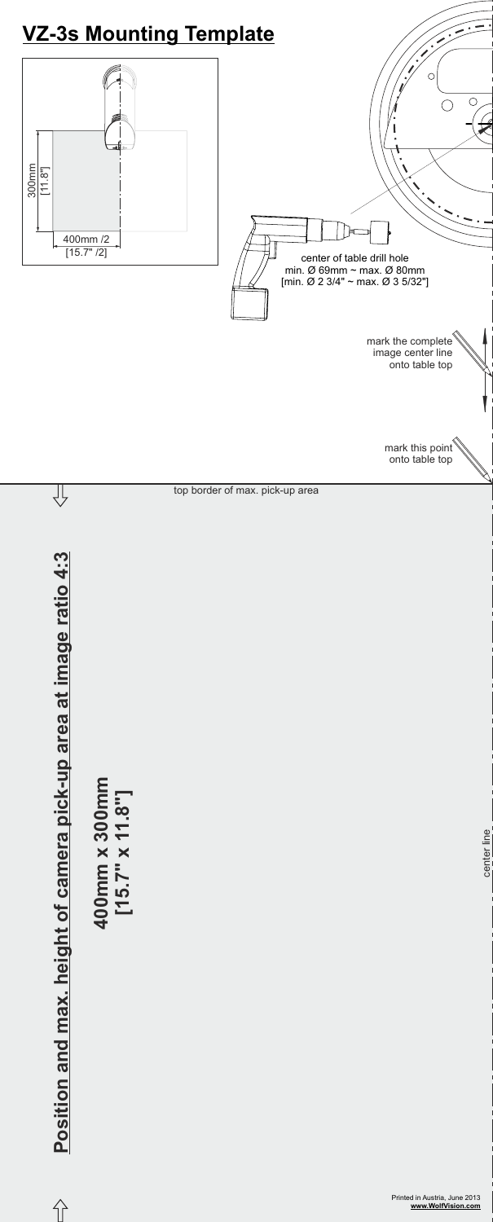



## Position and max. height of camera pick-up area at image ratio 4:3 **Position and max. height of camera pick-up area at image ratio 4:3**

 $\hat{I}$ 

**400mm x 300mm [15.7" x 11.8"]**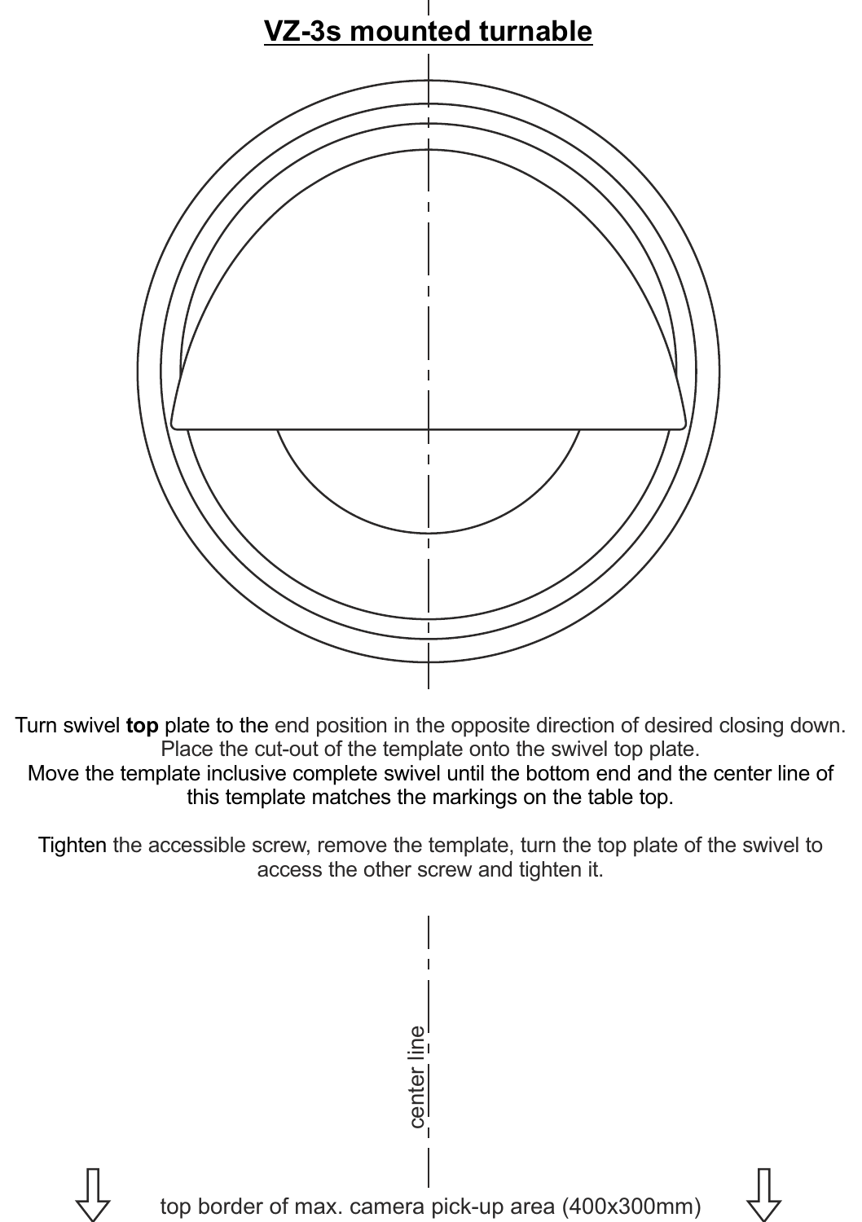

Turn swivel **top** plate to the end position in the opposite direction of desired closing down. Place the cut-out of the template onto the swivel top plate.

Move the template inclusive complete swivel until the bottom end and the center line of this template matches the markings on the table top.

Tighten the accessible screw, remove the template, turn the top plate of the swivel to access the other screw and tighten it.

> center line top border of max. camera pick-up area (400x300mm)